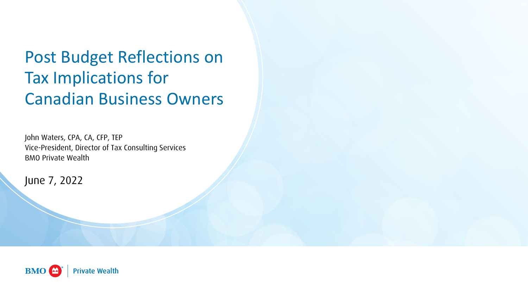Post Budget Reflections on Tax Implications for Canadian Business Owners

John Waters, CPA, CA, CFP, TEP Vice-President, Director of Tax Consulting Services BMO Private Wealth

June 7, 2022

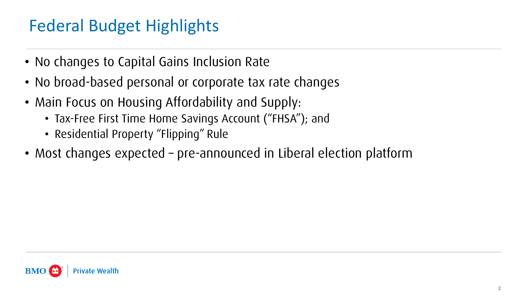## Federal Budget Highlights

- No changes to Capital Gains Inclusion Rate
- No broad-based personal or corporate tax rate changes
- Main Focus on Housing Affordability and Supply:
	- Tax-Free First Time Home Savings Account ("FHSA"); and
	- Residential Property "Flipping" Rule
- Most changes expected pre-announced in Liberal election platform

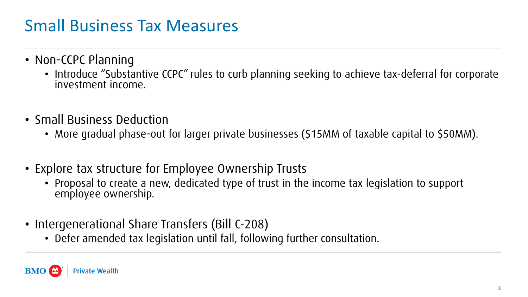#### Small Business Tax Measures

- Non-CCPC Planning
	- Introduce "Substantive CCPC" rules to curb planning seeking to achieve tax-deferral for corporate investment income.
- Small Business Deduction
	- More gradual phase-out for larger private businesses (\$15MM of taxable capital to \$50MM).
- Explore tax structure for Employee Ownership Trusts
	- Proposal to create a new, dedicated type of trust in the income tax legislation to support employee ownership.
- Intergenerational Share Transfers (Bill C-208)
	- Defer amended tax legislation until fall, following further consultation.

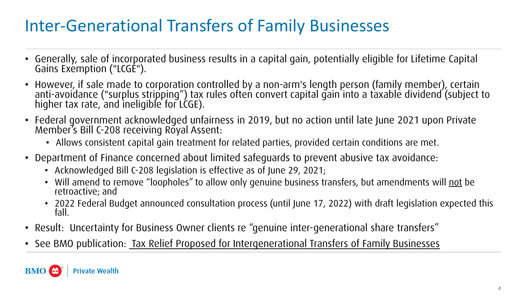## Inter-Generational Transfers of Family Businesses

- Generally, sale of incorporated business results in a capital gain, potentially eligible for Lifetime Capital Gains Exemption ("LCGE").
- However, if sale made to corporation controlled by a non-arm's length person (family member), certain<br>anti-avoidance ("surplus stripping") tax rules often convert capital gain into a taxable dividend (subject to<br>higher t
- Federal government acknowledged unfairness in 2019, but no action until late June 2021 upon Private Member's Bill C-208 receiving Royal Assent:
	- Allows consistent capital gain treatment for related parties, provided certain conditions are met.
- Department of Finance concerned about limited safeguards to prevent abusive tax avoidance:
	- Acknowledged Bill C-208 legislation is effective as of June 29, 2021;
	- Will amend to remove "loopholes" to allow only genuine business transfers, but amendments will not be retroactive; and
	- 2022 Federal Budget announced consultation process (until June 17, 2022) with draft legislation expected this fall.
- Result: Uncertainty for Business Owner clients re "genuine inter-generational share transfers"
- See BMO publication: [Tax Relief Proposed for Intergenerational Transfers of Family Businesses](https://intranet.bmogc.net/wealth/portal/wealthplanning/Documents/Planning%20Resources%20Canada/Tax%20Planning/Businesses/21-1926%20ID5550%20Tax%20Relief%20Proposed%20for%20Intergenerational%20Transfers_Ev3_ACC.pdf)

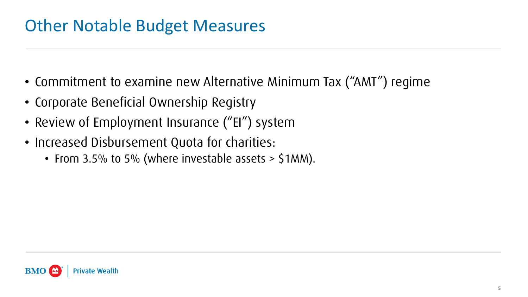#### Other Notable Budget Measures

- Commitment to examine new Alternative Minimum Tax ("AMT") regime
- Corporate Beneficial Ownership Registry
- Review of Employment Insurance ("EI") system
- Increased Disbursement Quota for charities:
	- From 3.5% to 5% (where investable assets > \$1MM).

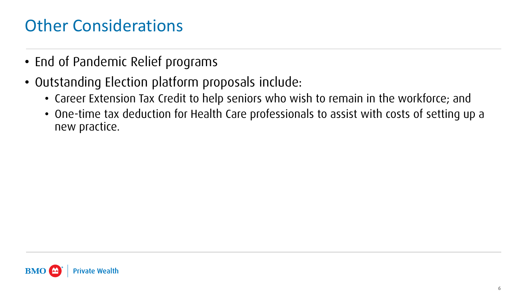#### Other Considerations

- End of Pandemic Relief programs
- Outstanding Election platform proposals include:
	- Career Extension Tax Credit to help seniors who wish to remain in the workforce; and
	- One-time tax deduction for Health Care professionals to assist with costs of setting up a new practice.

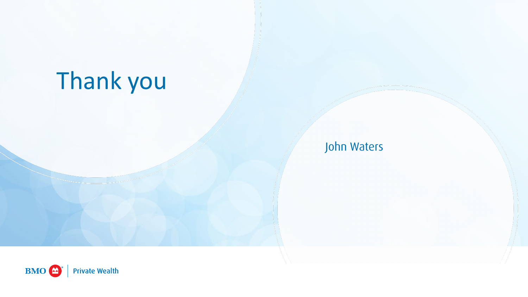# Thank you

#### John Waters